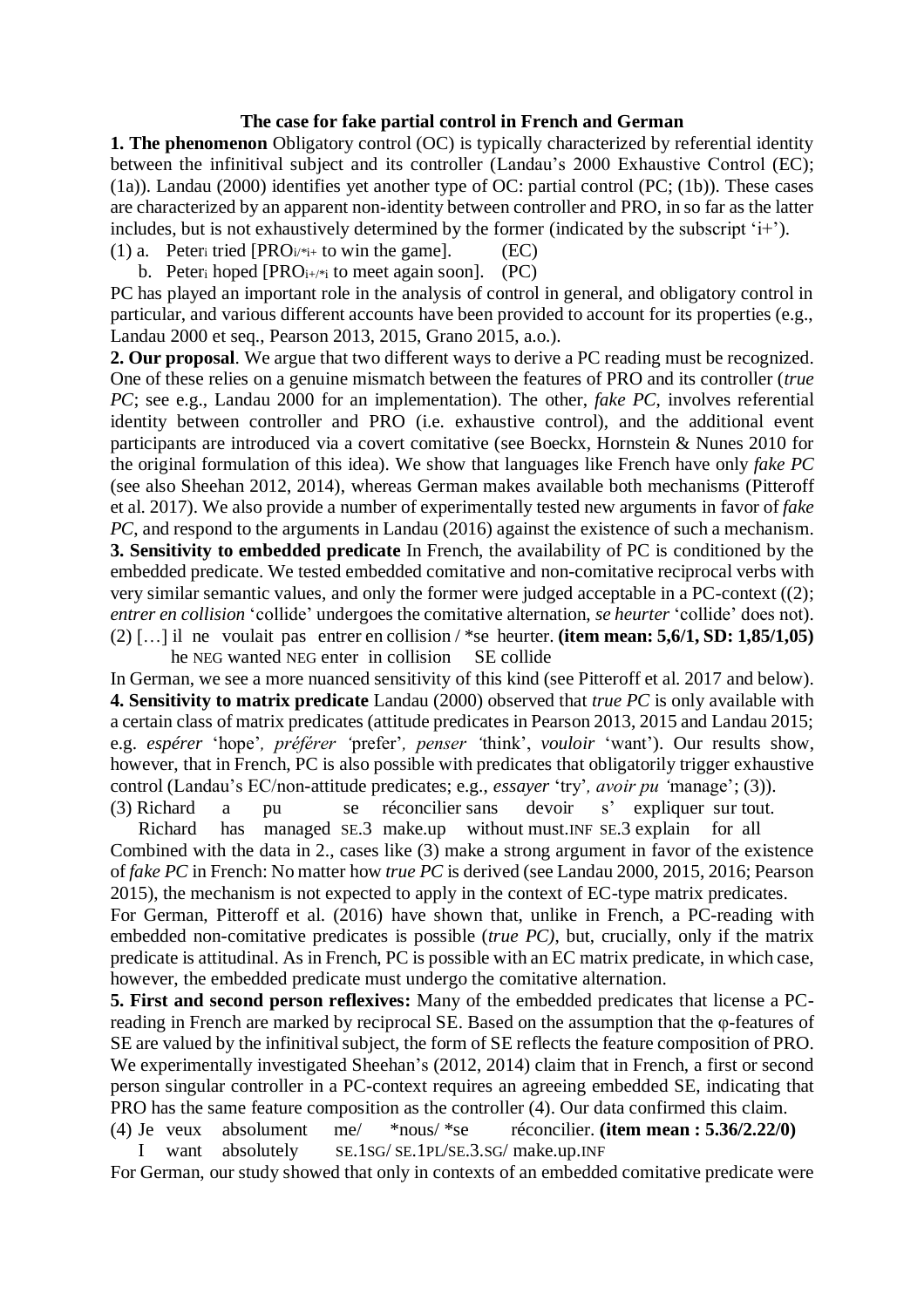## **The case for fake partial control in French and German**

**1. The phenomenon** Obligatory control (OC) is typically characterized by referential identity between the infinitival subject and its controller (Landau's 2000 Exhaustive Control (EC); (1a)). Landau (2000) identifies yet another type of OC: partial control (PC; (1b)). These cases are characterized by an apparent non-identity between controller and PRO, in so far as the latter includes, but is not exhaustively determined by the former (indicated by the subscript  $i^{+}$ ).

(1) a. Peter<sub>i</sub> tried  $[PRO_{i'*i+}$  to win the game]. (EC)

b. Peter<sub>i</sub> hoped  $[PRO_{i+}\underset{i}{*}$  to meet again soon]. (PC)

PC has played an important role in the analysis of control in general, and obligatory control in particular, and various different accounts have been provided to account for its properties (e.g., Landau 2000 et seq., Pearson 2013, 2015, Grano 2015, a.o.).

**2. Our proposal**. We argue that two different ways to derive a PC reading must be recognized. One of these relies on a genuine mismatch between the features of PRO and its controller (*true PC*; see e.g., Landau 2000 for an implementation). The other, *fake PC*, involves referential identity between controller and PRO (i.e. exhaustive control), and the additional event participants are introduced via a covert comitative (see Boeckx, Hornstein & Nunes 2010 for the original formulation of this idea). We show that languages like French have only *fake PC* (see also Sheehan 2012, 2014), whereas German makes available both mechanisms (Pitteroff et al. 2017). We also provide a number of experimentally tested new arguments in favor of *fake PC*, and respond to the arguments in Landau (2016) against the existence of such a mechanism. **3. Sensitivity to embedded predicate** In French, the availability of PC is conditioned by the embedded predicate. We tested embedded comitative and non-comitative reciprocal verbs with very similar semantic values, and only the former were judged acceptable in a PC-context ((2); *entrer en collision* 'collide' undergoes the comitative alternation, *se heurter* 'collide' does not). (2) […] il ne voulait pas entrer en collision / \*se heurter. **(item mean: 5,6/1, SD: 1,85/1,05)** he NEG wanted NEG enter in collision SE collide

In German, we see a more nuanced sensitivity of this kind (see Pitteroff et al. 2017 and below). **4. Sensitivity to matrix predicate** Landau (2000) observed that *true PC* is only available with a certain class of matrix predicates (attitude predicates in Pearson 2013, 2015 and Landau 2015; e.g. *espérer* 'hope'*, préférer '*prefer'*, penser '*think', *vouloir* 'want'). Our results show, however, that in French, PC is also possible with predicates that obligatorily trigger exhaustive control (Landau's EC/non-attitude predicates; e.g., *essayer* 'try'*, avoir pu '*manage'; (3)). (3) Richard a pu se réconcilier sans devoir s' expliquer sur tout.

 Richard has managed SE.3 make.up without must.INF SE.3 explain for all Combined with the data in 2., cases like (3) make a strong argument in favor of the existence of *fake PC* in French: No matter how *true PC* is derived (see Landau 2000, 2015, 2016; Pearson 2015), the mechanism is not expected to apply in the context of EC-type matrix predicates.

For German, Pitteroff et al. (2016) have shown that, unlike in French, a PC-reading with embedded non-comitative predicates is possible (*true PC)*, but, crucially, only if the matrix predicate is attitudinal. As in French, PC is possible with an EC matrix predicate, in which case, however, the embedded predicate must undergo the comitative alternation.

**5. First and second person reflexives:** Many of the embedded predicates that license a PCreading in French are marked by reciprocal SE. Based on the assumption that the φ-features of SE are valued by the infinitival subject, the form of SE reflects the feature composition of PRO. We experimentally investigated Sheehan's (2012, 2014) claim that in French, a first or second person singular controller in a PC-context requires an agreeing embedded SE, indicating that PRO has the same feature composition as the controller (4). Our data confirmed this claim.

(4) Je veux absolument me/ \*nous/ \*se réconcilier. **(item mean : 5.36/2.22/0)** I want absolutely SE.1SG/ SE.1PL/SE.3.SG/ make.up.INF

For German, our study showed that only in contexts of an embedded comitative predicate were